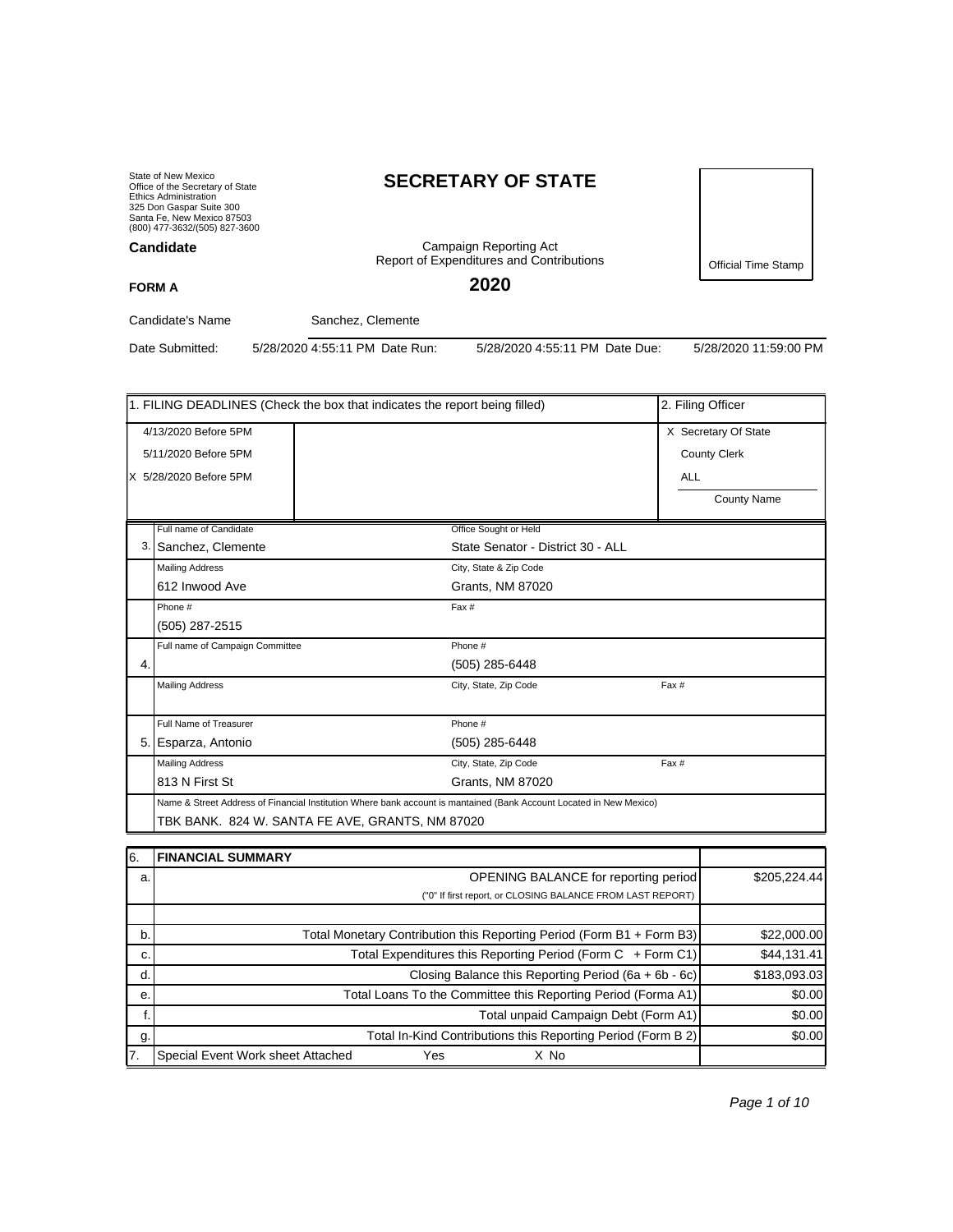State of New Mexico Office of the Secretary of State Ethics Administration 325 Don Gaspar Suite 300 Santa Fe, New Mexico 87503 (800) 477-3632/(505) 827-3600 **Candidate**

**FORM A**

# **SECRETARY OF STATE**

Campaign Reporting Act Report of Expenditures and Contributions

Official Time Stamp

**2020**

Candidate's Name Sanchez, Clemente

Date Submitted: 5/28/2020 4:55:11 PM Date Run: 5/28/2020 4:55:11 PM Date Due: 5/28/2020 11:59:00 PM

|     |                                                                                                                     | 1. FILING DEADLINES (Check the box that indicates the report being filled) |                                             | 2. Filing Officer    |  |  |
|-----|---------------------------------------------------------------------------------------------------------------------|----------------------------------------------------------------------------|---------------------------------------------|----------------------|--|--|
|     | 4/13/2020 Before 5PM                                                                                                |                                                                            |                                             | X Secretary Of State |  |  |
|     | 5/11/2020 Before 5PM                                                                                                |                                                                            |                                             | <b>County Clerk</b>  |  |  |
|     |                                                                                                                     |                                                                            |                                             |                      |  |  |
|     | X 5/28/2020 Before 5PM                                                                                              |                                                                            | <b>ALL</b>                                  |                      |  |  |
|     |                                                                                                                     |                                                                            |                                             | <b>County Name</b>   |  |  |
|     | Full name of Candidate                                                                                              | Office Sought or Held                                                      |                                             |                      |  |  |
|     | 3. Sanchez, Clemente                                                                                                | State Senator - District 30 - ALL                                          |                                             |                      |  |  |
|     | <b>Mailing Address</b>                                                                                              | City, State & Zip Code                                                     |                                             |                      |  |  |
|     | 612 Inwood Ave                                                                                                      | Grants, NM 87020                                                           |                                             |                      |  |  |
|     | Phone #                                                                                                             | Fax #                                                                      |                                             |                      |  |  |
|     | (505) 287-2515                                                                                                      |                                                                            |                                             |                      |  |  |
|     | Full name of Campaign Committee                                                                                     | Phone #                                                                    |                                             |                      |  |  |
| 4.  |                                                                                                                     | (505) 285-6448                                                             |                                             |                      |  |  |
|     | <b>Mailing Address</b>                                                                                              | City, State, Zip Code                                                      | Fax #                                       |                      |  |  |
|     | Full Name of Treasurer                                                                                              | Phone #                                                                    |                                             |                      |  |  |
| 5.1 | Esparza, Antonio                                                                                                    | (505) 285-6448                                                             |                                             |                      |  |  |
|     | <b>Mailing Address</b>                                                                                              | City, State, Zip Code                                                      | Fax #                                       |                      |  |  |
|     | 813 N First St                                                                                                      | Grants, NM 87020                                                           |                                             |                      |  |  |
|     | Name & Street Address of Financial Institution Where bank account is mantained (Bank Account Located in New Mexico) |                                                                            |                                             |                      |  |  |
|     |                                                                                                                     | TBK BANK. 824 W. SANTA FE AVE, GRANTS, NM 87020                            |                                             |                      |  |  |
|     |                                                                                                                     |                                                                            |                                             |                      |  |  |
| 6.  | <b>FINANCIAL SUMMARY</b>                                                                                            |                                                                            |                                             |                      |  |  |
| a.  |                                                                                                                     |                                                                            | <b>OPENING BALANCE for reporting period</b> | \$205.224.44         |  |  |

| a.  | OPENING BALANCE for reporting period                                  | \$205,224.44 |
|-----|-----------------------------------------------------------------------|--------------|
|     | ("0" If first report, or CLOSING BALANCE FROM LAST REPORT)            |              |
|     |                                                                       |              |
| b.  | Total Monetary Contribution this Reporting Period (Form B1 + Form B3) | \$22,000.00  |
| C.  | Total Expenditures this Reporting Period (Form C + Form C1)           | \$44,131.41  |
| d.  | Closing Balance this Reporting Period (6a + 6b - 6c)                  | \$183,093.03 |
| е.  | Total Loans To the Committee this Reporting Period (Forma A1)         | \$0.00       |
|     | Total unpaid Campaign Debt (Form A1)                                  | \$0.00       |
| g.  | Total In-Kind Contributions this Reporting Period (Form B 2)          | \$0.00       |
| 17. | Special Event Work sheet Attached<br>Yes<br>X No                      |              |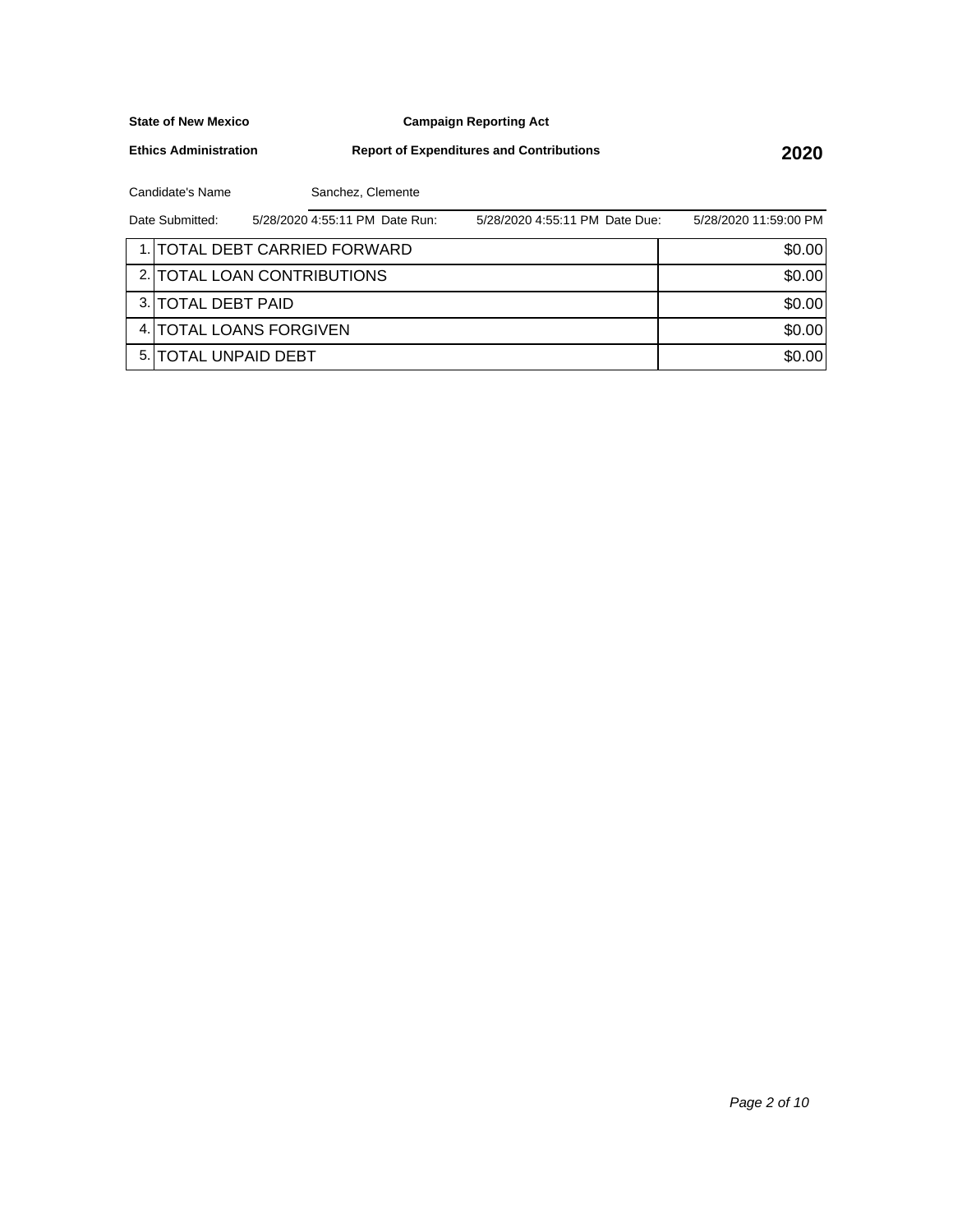**Campaign Reporting Act**

**Ethics Administration**

**Report of Expenditures and Contributions 2020**

Candidate's Name Sanchez, Clemente

| Date Submitted:       | 5/28/2020 4:55:11 PM Date Run: | 5/28/2020 4:55:11 PM Date Due: | 5/28/2020 11:59:00 PM |
|-----------------------|--------------------------------|--------------------------------|-----------------------|
|                       | 1. TOTAL DEBT CARRIED FORWARD  |                                | \$0.00                |
|                       | 2. TOTAL LOAN CONTRIBUTIONS    |                                | \$0.00                |
| 3. TOTAL DEBT PAID    |                                |                                | \$0.00                |
|                       | 4. TOTAL LOANS FORGIVEN        |                                | \$0.00                |
| 5. ITOTAL UNPAID DEBT |                                |                                | \$0.00                |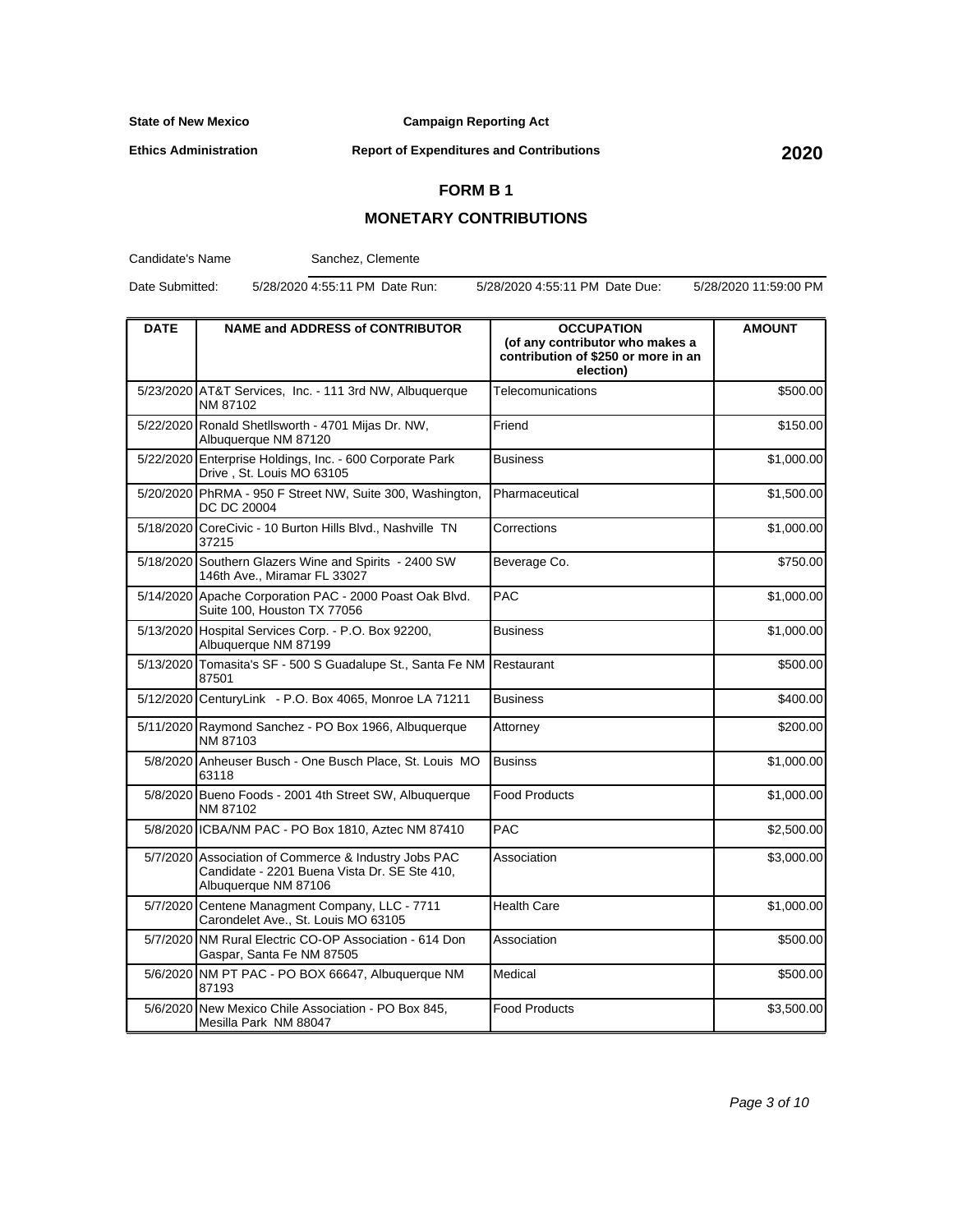**Campaign Reporting Act**

**Ethics Administration**

**Report of Expenditures and Contributions 2020**

## **FORM B 1**

## **MONETARY CONTRIBUTIONS**

Candidate's Name

Sanchez, Clemente

Date Submitted: 5/28/2020 4:55:11 PM Date Run: 5/28/2020 4:55:11 PM Date Due: 5/28/2020 11:59:00 PM

| <b>DATE</b> | <b>NAME and ADDRESS of CONTRIBUTOR</b>                                                                                       | <b>OCCUPATION</b><br>(of any contributor who makes a<br>contribution of \$250 or more in an<br>election) | <b>AMOUNT</b> |
|-------------|------------------------------------------------------------------------------------------------------------------------------|----------------------------------------------------------------------------------------------------------|---------------|
|             | 5/23/2020 AT&T Services, Inc. - 111 3rd NW, Albuquerque<br>NM 87102                                                          | Telecomunications                                                                                        | \$500.00      |
|             | 5/22/2020 Ronald Shetllsworth - 4701 Mijas Dr. NW,<br>Albuquerque NM 87120                                                   | Friend                                                                                                   | \$150.00      |
|             | 5/22/2020 Enterprise Holdings, Inc. - 600 Corporate Park<br>Drive, St. Louis MO 63105                                        | <b>Business</b>                                                                                          | \$1,000.00    |
|             | 5/20/2020 PhRMA - 950 F Street NW, Suite 300, Washington,<br>DC DC 20004                                                     | Pharmaceutical                                                                                           | \$1,500.00    |
|             | 5/18/2020 CoreCivic - 10 Burton Hills Blvd., Nashville TN<br>37215                                                           | Corrections                                                                                              | \$1,000.00    |
|             | 5/18/2020 Southern Glazers Wine and Spirits - 2400 SW<br>146th Ave., Miramar FL 33027                                        | Beverage Co.                                                                                             | \$750.00      |
|             | 5/14/2020 Apache Corporation PAC - 2000 Poast Oak Blvd.<br>Suite 100, Houston TX 77056                                       | PAC                                                                                                      | \$1,000.00    |
|             | 5/13/2020 Hospital Services Corp. - P.O. Box 92200,<br>Albuquerque NM 87199                                                  | <b>Business</b>                                                                                          | \$1,000.00    |
|             | 5/13/2020 Tomasita's SF - 500 S Guadalupe St., Santa Fe NM<br>87501                                                          | Restaurant                                                                                               | \$500.00      |
|             | 5/12/2020 CenturyLink - P.O. Box 4065, Monroe LA 71211                                                                       | <b>Business</b>                                                                                          | \$400.00      |
|             | 5/11/2020 Raymond Sanchez - PO Box 1966, Albuquerque<br>NM 87103                                                             | Attorney                                                                                                 | \$200.00      |
|             | 5/8/2020 Anheuser Busch - One Busch Place, St. Louis MO<br>63118                                                             | <b>Businss</b>                                                                                           | \$1,000.00    |
|             | 5/8/2020 Bueno Foods - 2001 4th Street SW, Albuquerque<br>NM 87102                                                           | <b>Food Products</b>                                                                                     | \$1,000.00    |
|             | 5/8/2020 ICBA/NM PAC - PO Box 1810, Aztec NM 87410                                                                           | <b>PAC</b>                                                                                               | \$2,500.00    |
|             | 5/7/2020 Association of Commerce & Industry Jobs PAC<br>Candidate - 2201 Buena Vista Dr. SE Ste 410,<br>Albuquerque NM 87106 | Association                                                                                              | \$3,000.00    |
| 5/7/2020    | Centene Managment Company, LLC - 7711<br>Carondelet Ave., St. Louis MO 63105                                                 | <b>Health Care</b>                                                                                       | \$1,000.00    |
|             | 5/7/2020 NM Rural Electric CO-OP Association - 614 Don<br>Gaspar, Santa Fe NM 87505                                          | Association                                                                                              | \$500.00      |
|             | 5/6/2020 NM PT PAC - PO BOX 66647, Albuquerque NM<br>87193                                                                   | Medical                                                                                                  | \$500.00      |
|             | 5/6/2020 New Mexico Chile Association - PO Box 845,<br>Mesilla Park NM 88047                                                 | <b>Food Products</b>                                                                                     | \$3,500.00    |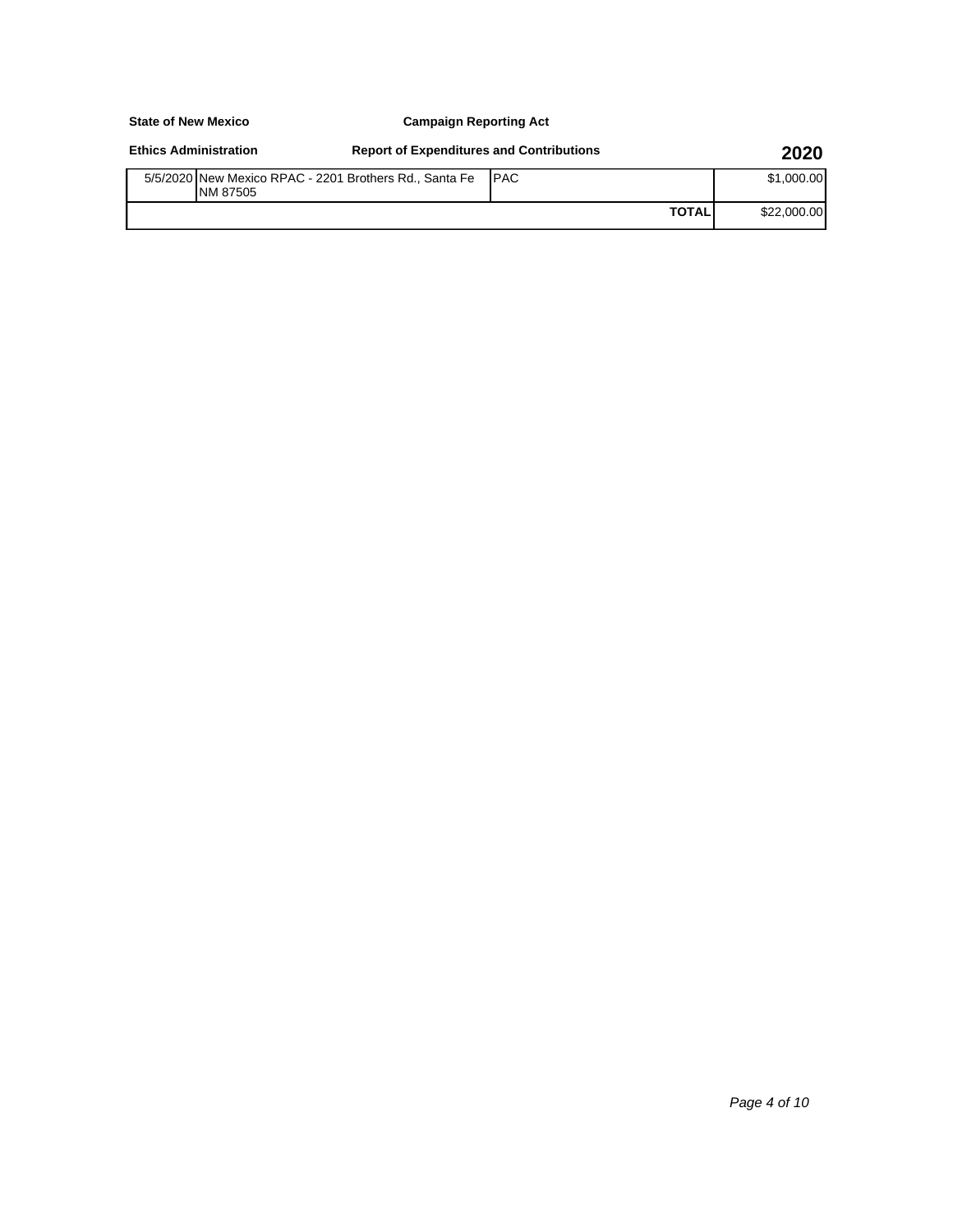#### **Campaign Reporting Act**

#### **Ethics Administration**

## **Report of Expenditures and Contributions 2020**

| 5/5/2020 New Mexico RPAC - 2201 Brothers Rd., Santa Fe<br>INM 87505 | <b>IPAC</b>  | \$1,000,00  |
|---------------------------------------------------------------------|--------------|-------------|
|                                                                     | <b>TOTAL</b> | \$22,000.00 |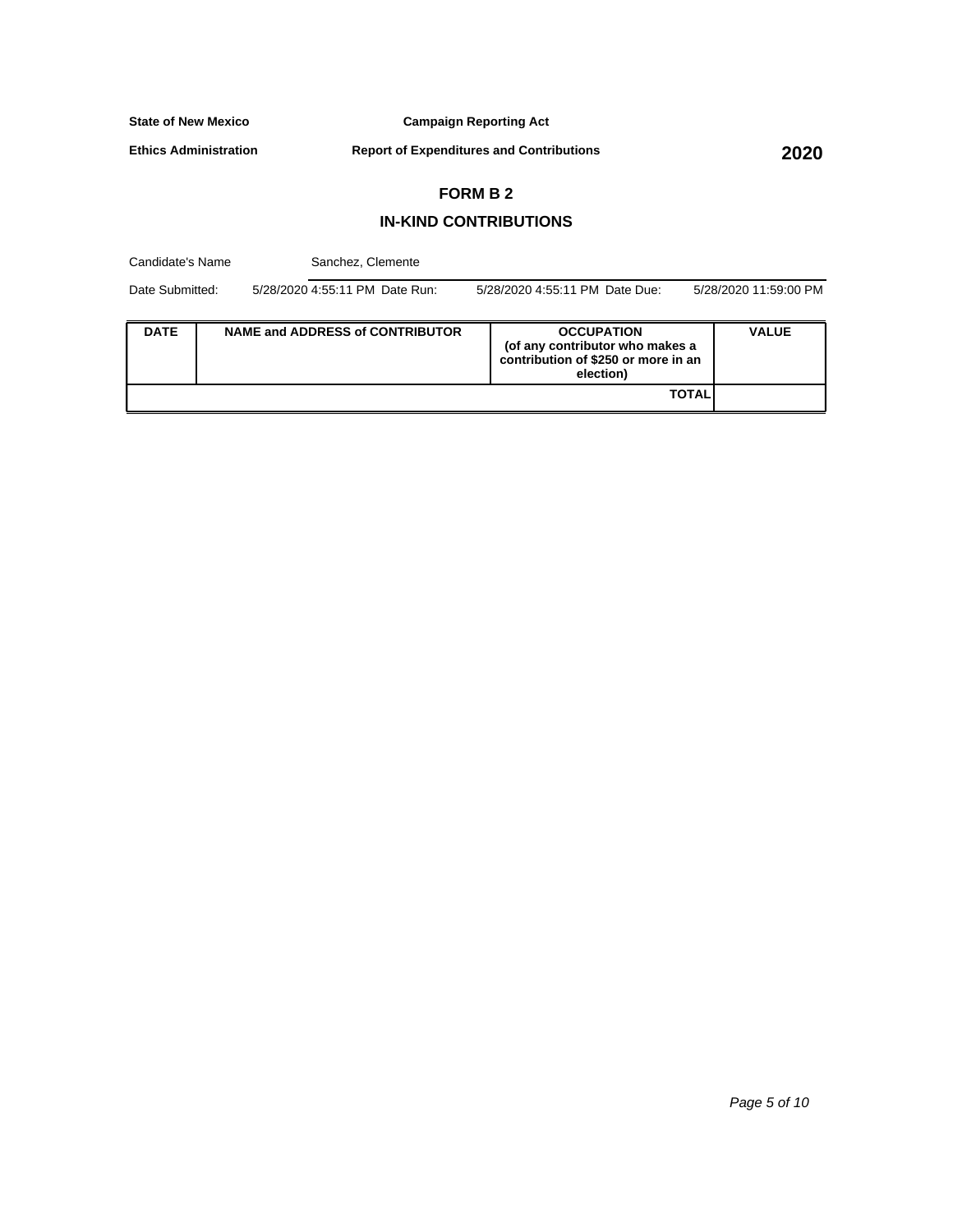**Campaign Reporting Act**

**Ethics Administration**

**Report of Expenditures and Contributions 2020**

# **FORM B 2**

## **IN-KIND CONTRIBUTIONS**

| Candidate's Name |  |                                        | Sanchez, Clemente                                                |                                                                                                          |                       |  |
|------------------|--|----------------------------------------|------------------------------------------------------------------|----------------------------------------------------------------------------------------------------------|-----------------------|--|
| Date Submitted:  |  |                                        | 5/28/2020 4:55:11 PM Date Run:<br>5/28/2020 4:55:11 PM Date Due: |                                                                                                          | 5/28/2020 11:59:00 PM |  |
| <b>DATE</b>      |  | <b>NAME and ADDRESS of CONTRIBUTOR</b> |                                                                  | <b>OCCUPATION</b><br>(of any contributor who makes a<br>contribution of \$250 or more in an<br>election) | <b>VALUE</b>          |  |
|                  |  |                                        |                                                                  |                                                                                                          | <b>TOTAL</b>          |  |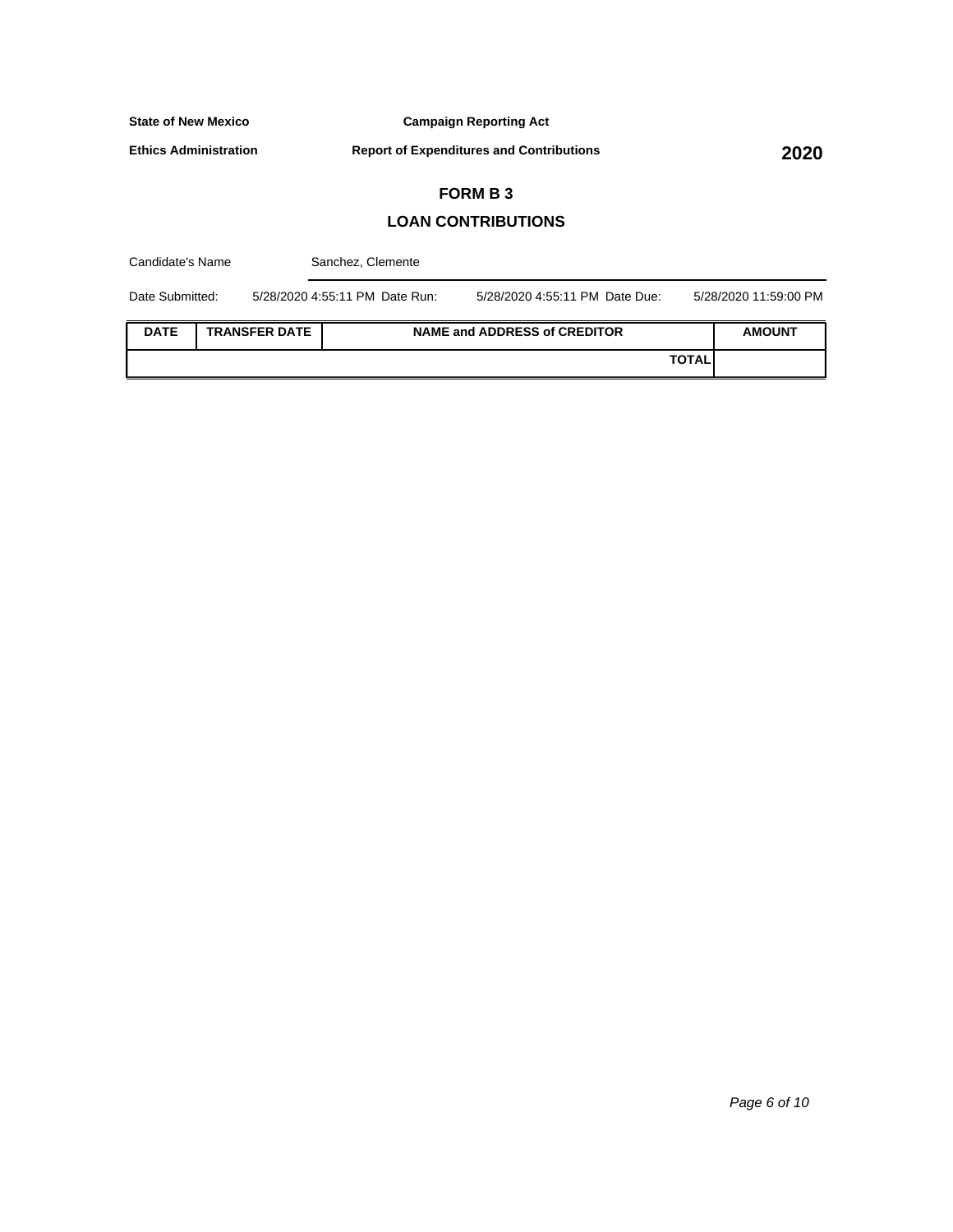**Campaign Reporting Act**

**Ethics Administration**

**Report of Expenditures and Contributions 2020**

# **FORM B 3**

## **LOAN CONTRIBUTIONS**

| Candidate's Name |  |                      | Sanchez, Clemente                   |                                |                       |  |
|------------------|--|----------------------|-------------------------------------|--------------------------------|-----------------------|--|
| Date Submitted:  |  |                      | 5/28/2020 4:55:11 PM Date Run:      | 5/28/2020 4:55:11 PM Date Due: | 5/28/2020 11:59:00 PM |  |
| <b>DATE</b>      |  | <b>TRANSFER DATE</b> | <b>NAME and ADDRESS of CREDITOR</b> |                                | <b>AMOUNT</b>         |  |
|                  |  |                      |                                     | <b>TOTAL</b>                   |                       |  |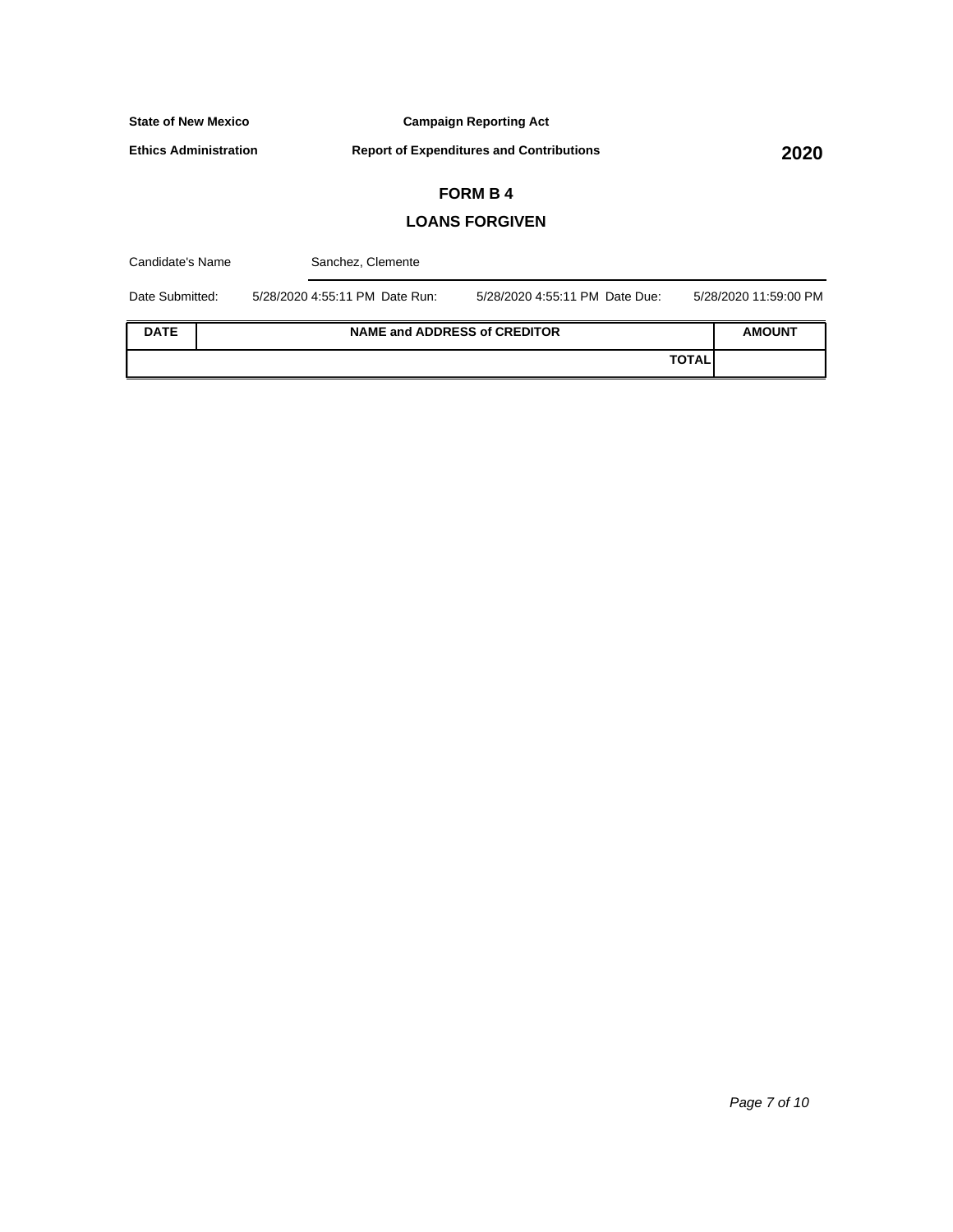**Campaign Reporting Act**

**Ethics Administration**

**Report of Expenditures and Contributions 2020**

# **FORM B 4**

## **LOANS FORGIVEN**

| Candidate's Name |  | Sanchez, Clemente              |                                     |              |                       |
|------------------|--|--------------------------------|-------------------------------------|--------------|-----------------------|
| Date Submitted:  |  | 5/28/2020 4:55:11 PM Date Run: | 5/28/2020 4:55:11 PM Date Due:      |              | 5/28/2020 11:59:00 PM |
| <b>DATE</b>      |  |                                | <b>NAME and ADDRESS of CREDITOR</b> |              | <b>AMOUNT</b>         |
|                  |  |                                |                                     | <b>TOTAL</b> |                       |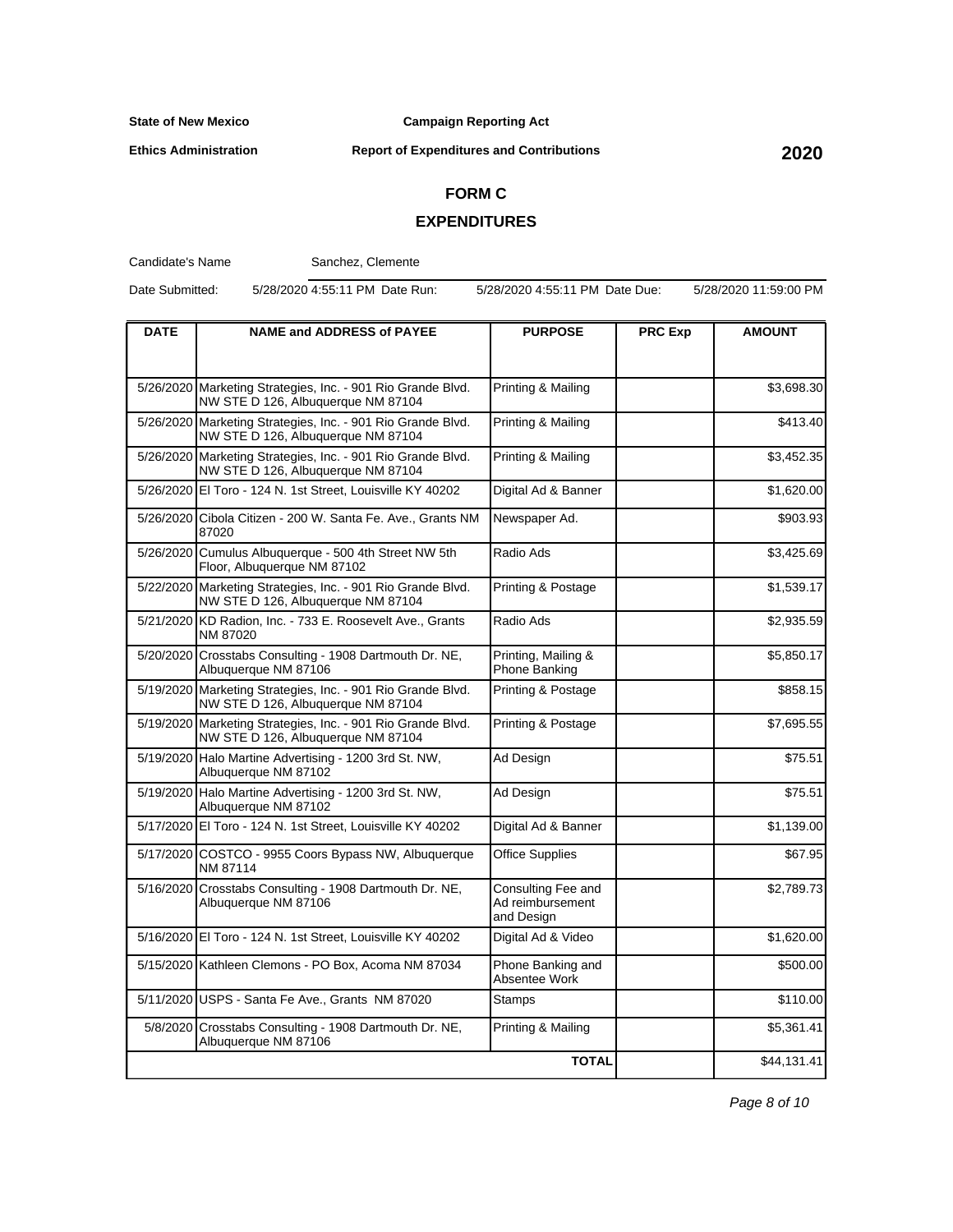**Ethics Administration**

#### **Campaign Reporting Act**

## **Report of Expenditures and Contributions 2020**

# **FORM C**

## **EXPENDITURES**

Candidate's Name

Sanchez, Clemente

Date Submitted: 5/28/2020 4:55:11 PM Date Run: 5/28/2020 4:55:11 PM Date Due: 5/28/2020 11:59:00 PM

| <b>DATE</b> | <b>NAME and ADDRESS of PAYEE</b>                                                                  | <b>PURPOSE</b>                                       | <b>PRC Exp</b> | <b>AMOUNT</b> |
|-------------|---------------------------------------------------------------------------------------------------|------------------------------------------------------|----------------|---------------|
|             |                                                                                                   |                                                      |                |               |
|             | 5/26/2020 Marketing Strategies, Inc. - 901 Rio Grande Blvd.<br>NW STE D 126, Albuquerque NM 87104 | Printing & Mailing                                   |                | \$3,698.30    |
| 5/26/2020   | Marketing Strategies, Inc. - 901 Rio Grande Blvd.<br>NW STE D 126, Albuquerque NM 87104           | Printing & Mailing                                   |                | \$413.40      |
|             | 5/26/2020 Marketing Strategies, Inc. - 901 Rio Grande Blvd.<br>NW STE D 126, Albuquerque NM 87104 | Printing & Mailing                                   |                | \$3,452.35    |
|             | 5/26/2020 El Toro - 124 N. 1st Street. Louisville KY 40202                                        | Digital Ad & Banner                                  |                | \$1,620.00    |
|             | 5/26/2020 Cibola Citizen - 200 W. Santa Fe. Ave., Grants NM<br>87020                              | Newspaper Ad.                                        |                | \$903.93      |
| 5/26/2020   | Cumulus Albuquerque - 500 4th Street NW 5th<br>Floor, Albuquerque NM 87102                        | Radio Ads                                            |                | \$3,425.69    |
|             | 5/22/2020 Marketing Strategies, Inc. - 901 Rio Grande Blvd.<br>NW STE D 126, Albuquerque NM 87104 | Printing & Postage                                   |                | \$1,539.17    |
| 5/21/2020   | KD Radion, Inc. - 733 E. Roosevelt Ave., Grants<br>NM 87020                                       | Radio Ads                                            |                | \$2,935.59    |
|             | 5/20/2020 Crosstabs Consulting - 1908 Dartmouth Dr. NE,<br>Albuquerque NM 87106                   | Printing, Mailing &<br>Phone Banking                 |                | \$5,850.17    |
|             | 5/19/2020 Marketing Strategies, Inc. - 901 Rio Grande Blvd.<br>NW STE D 126, Albuquerque NM 87104 | Printing & Postage                                   |                | \$858.15      |
| 5/19/2020   | Marketing Strategies, Inc. - 901 Rio Grande Blvd.<br>NW STE D 126, Albuquerque NM 87104           | Printing & Postage                                   |                | \$7,695.55    |
|             | 5/19/2020 Halo Martine Advertising - 1200 3rd St. NW,<br>Albuquerque NM 87102                     | Ad Design                                            |                | \$75.51       |
|             | 5/19/2020 Halo Martine Advertising - 1200 3rd St. NW,<br>Albuquerque NM 87102                     | Ad Design                                            |                | \$75.51       |
|             | 5/17/2020 El Toro - 124 N. 1st Street, Louisville KY 40202                                        | Digital Ad & Banner                                  |                | \$1,139.00    |
|             | 5/17/2020 COSTCO - 9955 Coors Bypass NW, Albuquerque<br>NM 87114                                  | <b>Office Supplies</b>                               |                | \$67.95       |
| 5/16/2020   | Crosstabs Consulting - 1908 Dartmouth Dr. NE,<br>Albuquerque NM 87106                             | Consulting Fee and<br>Ad reimbursement<br>and Design |                | \$2,789.73    |
|             | 5/16/2020 El Toro - 124 N. 1st Street, Louisville KY 40202                                        | Digital Ad & Video                                   |                | \$1,620.00    |
|             | 5/15/2020 Kathleen Clemons - PO Box, Acoma NM 87034                                               | Phone Banking and<br>Absentee Work                   |                | \$500.00      |
|             | 5/11/2020 USPS - Santa Fe Ave., Grants NM 87020                                                   | <b>Stamps</b>                                        |                | \$110.00      |
| 5/8/2020    | Crosstabs Consulting - 1908 Dartmouth Dr. NE,<br>Albuquerque NM 87106                             | Printing & Mailing                                   |                | \$5,361.41    |
|             |                                                                                                   | <b>TOTAL</b>                                         |                | \$44,131.41   |

Page 8 of 10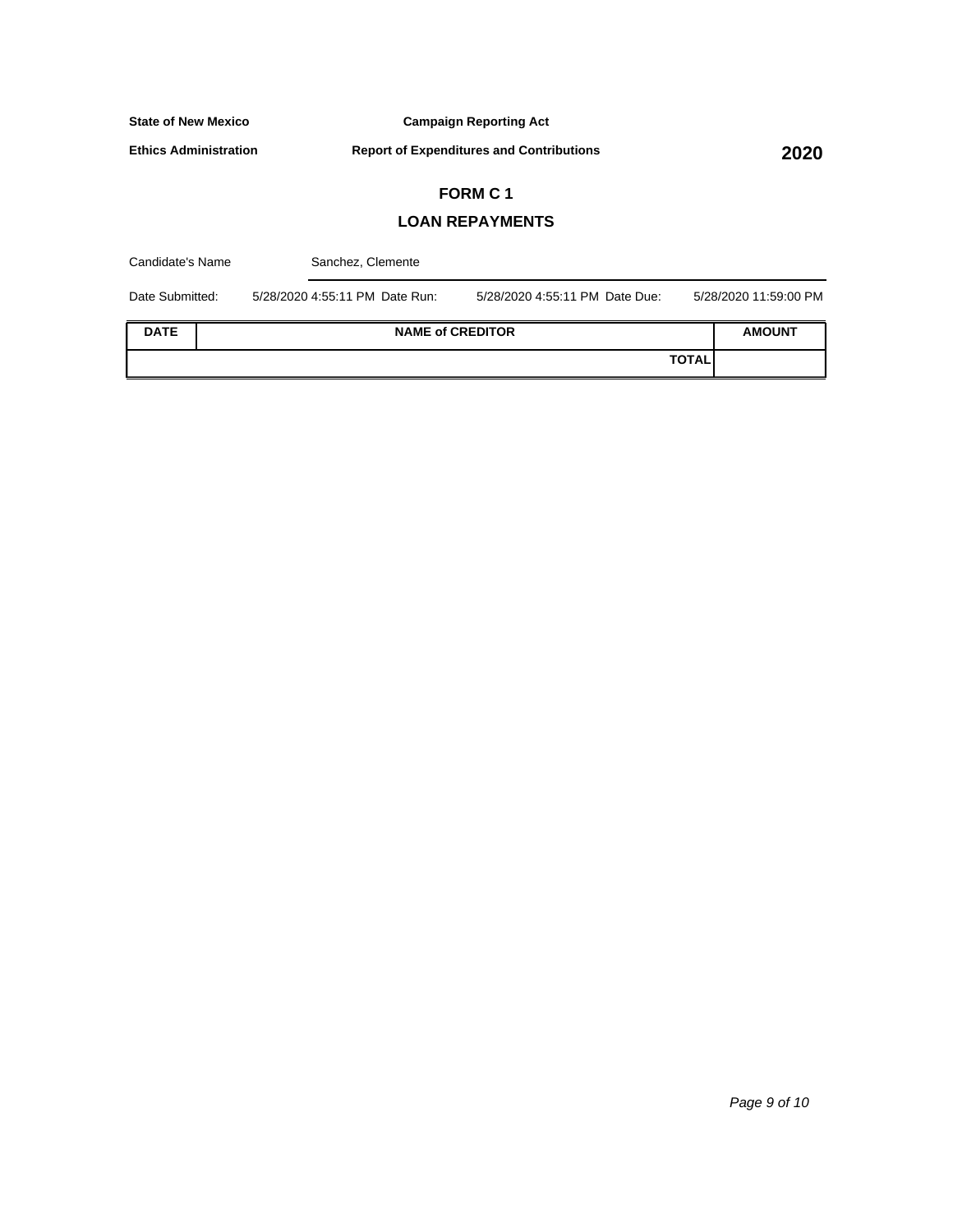**Campaign Reporting Act**

**Ethics Administration**

**Report of Expenditures and Contributions 2020**

# **FORM C 1**

## **LOAN REPAYMENTS**

| Candidate's Name |  | Sanchez, Clemente              |                                |              |                       |
|------------------|--|--------------------------------|--------------------------------|--------------|-----------------------|
| Date Submitted:  |  | 5/28/2020 4:55:11 PM Date Run: | 5/28/2020 4:55:11 PM Date Due: |              | 5/28/2020 11:59:00 PM |
| <b>DATE</b>      |  |                                | <b>NAME of CREDITOR</b>        |              | <b>AMOUNT</b>         |
|                  |  |                                |                                | <b>TOTAL</b> |                       |